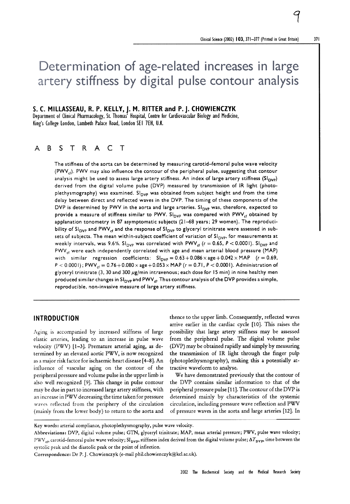# Determination of age-related increases in large artery stiffness by digital pulse contour analysis

S. C. MILLASSEAU, R. P. KELLY, J. M. RITTER and P. J. CHOWIENCZYK

Department of Clinical Pharmacology, St. Thomas' Hospital, Centre for Cardiovascular Biology and Medicine, King's College London, Lambeth Palace Road, London SE I 7EH, U.K.

# <sup>A</sup> B s T R A c T

The stiffness of the aorta can be determined by measuring carotid-femoral pulse wave velocity  $(PWV_{cl})$ . PWV may also influence the contour of the peripheral pulse, suggesting that contour analysis might be used to assess large artery stiffness. An index of large artery stiffness ( $SI_{\text{DVP}}$ ) derived from the digital volume pulse (DVP) measured by transmission of IR light (photoplethysmography) was examined.  $S_{\text{DVP}}$  was obtained from subject height and from the time delay between direct and reflected waves in the DVP. The timing of these components of the DVP is determined by PWV in the aorta and large arteries.  $SI_{DVP}$  was, therefore, expected to provide a measure of stiffness similar to PWV. Sl<sub>DVP</sub> was compared with PWV<sub>cf</sub> obtained by applanation tonometry in 87 asymptomatic subjects (21-68 years; 29 women). The reproducibility of SI<sub>DVP</sub> and PWV<sub>cf</sub> and the response of SI<sub>DVP</sub> to glyceryl trinitrate were assessed in subsets of subjects. The mean within-subject coefficient of variation of  $Sl_{\text{DVP}}$ , for measurements at weekly intervals, was 9.6%. Sl<sub>DVP</sub> was correlated with PWV<sub>cf</sub> ( $r = 0.65$ ,  $P < 0.0001$ ). Sl<sub>DVP</sub> and  $PWV_{cf}$  were each independently correlated with age and mean arterial blood pressure (MAP) with similar regression coefficients:  $SI_{DVP}=0.63+0.086\times age+0.042\times MAP$  (r = 0.69,  $P < 0.0001$ ); PWV<sub>cf</sub> = 0.76 + 0.080  $\times$  age + 0.053  $\times$  MAP ( $r = 0.71$ ,  $P < 0.0001$ ). Administration of glyceryl trinitrate (3, 30 and 300  $\mu$ g/min intravenous; each dose for 15 min) in nine healthy men produced similar changes in  $Sl_{\text{DVP}}$  and  $\text{PWV}_{\text{cf}}$ . Thus contour analysis of the DVP provides a simple, reproducible. non-invasive measure of large artery stiffness.

# INTRODUCTION

--

Aging is accompanied by increased stiffness of large elastic arteries, leading to an increase in pulse wave velocity (PWV)  $[1-3]$ . Premature arterial aging, as determined by an elevated aortic PWV , is now recognized as a major risk factor for ischaemic heart disease [4-8]. An influence of vascular aging on the contour of the peripheral pressure and volume pulse in the upper limb is also well recognized [9]. This change in pulse contour may be due in part to increased large artery stiffness, with an increase in PWV decreasing the time taken for pressure waves reflected from the periphery of the circulation (mainly from the lower body) to return to the aorta and

thence to the upper limb. Consequently, reflected waves arrive earlier in the cardiac cycle [10]. This raises the possibility that large artery stiffness may be assessed from the peripheral pulse. The digital volume pulse (DVP) may be obtained rapidly and simply by measuring the transmission of IR light through the finger pulp (photoplethysmography), making this a potentially attractive waveform to analyse.

We have demonstrated previously that the contour of the DVP contains similar information to that of the peripheral pressure pulse [11]. The contour of the DVP is determined mainly by characteristics of the systemic circulation, including pressure wave reflection and PWV of pressure waves in the aorta and large arteries [12]. In

Correspondence: Dr P. J. Chowienczyk (e-mail phil.chowienczyk@kcl.ac.uk).

1

Key words: arterial compliance, photoplethysmography, pulse wave velocity.

Abbreviations: DVP, digital volume pulse; GTN, glyceryl trinitrate; MAP, mean arterial pressure; PWV, pulse wave velocity; PWV<sub>of</sub>, carotid-femoral pulse wave velocity; SI<sub>DVP</sub>, stiffness index derived from the digital volume pulse;  $\Delta T_{\rm DVP}$ , time between the systolic peak and the diastolic peak or the point of inflection.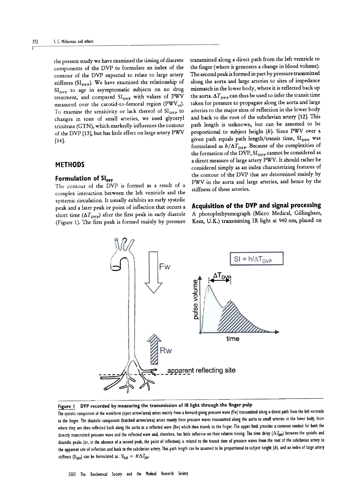the present study we have examined the timing of discrete components of the DVP to formulate an index of the contour of the DVP expected to relate to large artery stiffness ( $SI<sub>DVP</sub>$ ). We have examined the relationship of  $SI<sub>DVP</sub>$  to age in asymptomatic subjects on no drug treatment, and compared  $SI_{\text{DVP}}$  with values of PWV measured over the carotid-to-femoral region (PWV $_{\rm et}$ ). To examine the sensitivity or lack thereof of  $SI<sub>DVP</sub>$  to changes in tone of small arteries, we used glyceryl trinitrate (GTN), which markedly influences the contour of the DVP [13], but has little effect on large artery PWV [14].

## METHODS

#### Formulation of  $SI<sub>ovP</sub>$

The contour of the DVP is formed as a result of a complex interaction between the left ventricle and the systemic circulation. It usually exhibits an early systolic peak and a later peak or point of inflection that occurs a short time  $(\Delta T_{\text{DVP}})$  after the first peak in early diastole (Figure 1). The first peak is formed mainly by pressure transmitted along a direct path from the left ventricle to the finger (where it generates a change in blood volume). The second peak is formed in part by pressure transmitted along the aorta and large arteries to sites of impedance mismatch in the lower body, where it is reflected back up the aorta.  $\Delta T_{\text{DVP}}$  can thus be used to infer the transit time taken for pressure to propagate along the aorta and large arteries to the major sites of reflection in the lower body and back to the root of the subclavian artery [12]. This path length is unknown, but can be assumed to be proportional to subject height  $(b)$ . Since PWV over a given path equals path length/transit time, SI<sub>DVP</sub> was formulated as  $h/\Delta T_{\text{DVP}}$ . Because of the complexities of the formation of the DVP,  $SI_{\text{DVP}}$  cannot be considered as a direct measure of large artery PWV. It should rather be considered simply as an index characterizing features of the contour of the DVP that are determined mainly by PWV in the aorta and large arteries, and hence by the stiffness of these arteries.

#### Acquisition of the DVP and signal processing

A photoplethysmograph {Micro Medical, Gi11ingham, Kent, U.K.) transmitting IR light at 940 nm, placed on



# Figure I DVP recorded by measuring the transmission of IR light through the finger pulp

The systolic component of the waveform (open arrow/area) arises mainly from a forward-going pressure wave (Fw) transmitted along a direct path from the left ventricle to the finger. The diastolic component (hatched arrow/area) arises mainly from pressure waves transmitted along the aorta to small arteries in the lower body, from where they are then reflected back along the aorta as a reflected wave (Rw) which then travels to the finger. The upper limb provides a common conduit for both the directly transmitted pressure wave and the reflected wave and, therefore, has little influence on their relative timing. The time delay ( $\Delta I_{\text{DVP}}$ ) between the systolic and diastolic peaks (or, in the absence of a second peak, the point of inflection) is related to the transit time of pressure waves from the root of the subclavian artery to the apparent site of reflection and back to the subclavian artery. This path length can be assumed to be proportional to subject height (h), and an index of large artery stiffness (SI<sub>DVP</sub>) can be formulated as: SI<sub>DVP</sub> =  $h/\Delta T_{\text{DVP}}$ .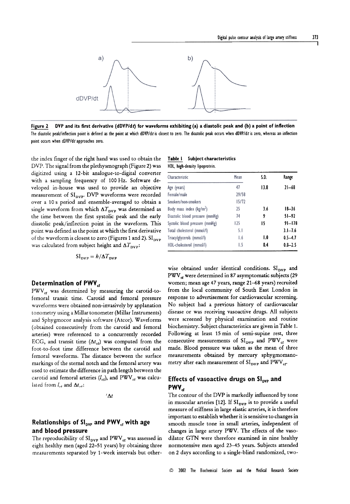

Figure 2 DVP and its first derivative (dDVP/dt) for waveforms exhibiting (a) a diastolic peak and (b) a point of inflection The diastolic peak/inflection point is defined as the point at which dDVP/dt is closest to zero. The diastolic peak occurs when dDVP/dt is zero, whereas an inflection point occurs when dDVP/dt approaches zero.

the index finger of the right hand was used to obtain the DVP. The signal from the plethysmograph (Figure 2) was digitized using a 12-bit analogue-to-digital converter with a sampling frequency of 100 Hz. Software developed in-house was used to provide an objective measurement of  $SI<sub>nyP</sub>$ . DVP waveforms were recorded over a 10 s period and ensemble-averaged to obtain a single waveform from which  $\Delta T_{\text{DVP}}$  was determined as the time between the first systolic peak and the early diastolic peak/inflection point in the waveform. This point was defined as the point at which the first derivative of the waveform is closest to zero (Figures 1 and 2).  $\mathrm{SI}_\mathrm{DVP}$ was calculated from subject height and  $\Delta T_{\rm DVP}$ :

$$
SI_{\text{DVP}} = b/\Delta T_{\text{DVP}}
$$

#### Determination of PWV $_{cf}$

 $PWV_{cf}$  was determined by measuring the carotid-tofemoral transit time. Carotid and femoral pressure waveforms were obtained non-invasively by applanation tonometry using a Millar tonometer (Millar Instruments) and Sphygmocor analysis software (Atcor). Waveforms ( obtained consecutively from the carotid and femoral arteries) were referenced to a concurrently recorded ECG, and transit time  $(\Delta t_{\text{cf}})$  was computed from the foot-to-foot time difference between the carotid and femoral waveforms. The distance between the surface markings of the sternal notch and the femoral artery was used to estimate the difference in path length between the carotid and femoral arteries  $(l_{\text{cf}})$ , and PWV<sub>cr</sub> was calculated from  $l_{\rm cf}$  and  $\Delta t_{\rm cf}$ :

 $\Delta t$ 

# Relationships of  $Sl<sub>ovP</sub>$  and PWV<sub>cf</sub> with age and blood pressure

The reproducibility of  $SI_{\text{DVP}}$  and  $\text{PWV}_{\text{cf}}$  was assessed in eight healthy men (aged 22-51 years) by obtaining three measurements separated by 1-week intervals but other-

| Table I | Subject characteristics        |  |
|---------|--------------------------------|--|
|         | HDL, high-density lipoprotein. |  |

| Characteristic                  | Mean<br>47 | S.D.<br>13.8 | Range<br>$21 - 68$ |
|---------------------------------|------------|--------------|--------------------|
| Age (years)                     |            |              |                    |
| Female/male                     | 29/58      |              |                    |
| Smokers/non-smokers             | 15/72      |              |                    |
| Body mass index $(kg/m2)$       | 25         | 3.6          | $18 - 36$          |
| Diastolic blood pressure (mmHg) | 74         | 9            | $51 - 92$          |
| Systolic blood pressure (mmHg)  | 125        | 15           | $91 - 178$         |
| Total cholesterol (mmol/I)      | 5.1        |              | $3.1 - 7.6$        |
| Triacylglycerols (mmol/l)       | 1.6        | 1.0          | $0.5 - 4.7$        |
| HDL-cholesterol (mmol/l)        | 1.5        | 0.4          | $0.8 - 2.5$        |

wise obtained under identical conditions.  $SI<sub>DVP</sub>$  and PWV<sub>et</sub> were determined in 87 asymptomatic subjects (29 women; mean age 47 years, range 21-68 years) recruited from the local community of South East London in response to advertisement for cardiovascular screening, No subject had a previous history of cardiovascular disease or was receiving vasoactive drugs, All subjects were screened by physical examination and routine biochemistry, Subject characteristics are given in Table 1, Following at least 15 min of semi-supine rest, three consecutive measurements of  $SI_{DVP}$  and  $PWV_{cf}$  were made, Blood pressure was taken as the mean of three measurements obtained by mercury sphygmomanometry after each measurement of  $SI_{\text{DVP}}$  and  $\text{PWV}_{\text{cf}}$ .

# Effects of vasoactive drugs on  $Sl<sub>nVP</sub>$  and  $PWV_{cf}$

The contour of the DVP is markedly influenced by tone in muscular arteries [12]. If  $SI_{\text{DVP}}$  is to provide a useful measure of stiffness in large elastic arteries, it is therefore important to establish whether it is sensitive to changes in smooth muscle tone in small arteries, independent of changes in large artery PWV. The effects of the vasodilator GTN were therefore examined in nine healthy normotensive men aged 23-45 years. Subjects attended on 2 days according to a single-blind randomized, two-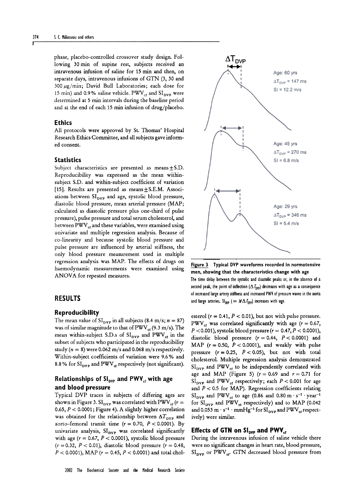phase, placebo-controlled crossover study design. Following 30 min of supine rest, subjects received an intravenous infusion of saline for 15 min and then, on separate days, intravenous infusions of GTN (3, 30 and 300  $\mu$ g/min; David Bull Laboratories; each dose for 15 min) and 0.9% saline vehicle.  $PWV_{cf}$  and  $SI_{DVP}$  were determined at 5 min intervals during the baseline period and at the end of each 15 min infusion of drug/placebo.

#### Ethics

All protocols were approved by St. Thomas' Hospital Research Ethics Committee, and all subjects gave informed consent.

#### **Statistics**

Subject characteristics are presented as means $\pm$ S.D. Reproducibility was expressed as the mean withinsubject S.D. and within-subject coefficient of variation [15]. Results are presented as means $\pm$ S.E.M. Associations between  $SI<sub>DVP</sub>$  and age, systolic blood pressure, diastolic blood pressure, mean arterial pressure (MAP; calculated as diastolic pressure plus one-third of pulse pressure), pulse pressure and total serum cholesterol, and between PWV<sub>et</sub> and these variables, were examined using univariate and multiple regression analysis. Because of co-linearity and because systolic blood pressure and pulse pressure are influenced by arterial stiffness, the only blood pressure measurement used in multiple regression analysis was MAP. The effects of drugs on haemodynamic measurements were examined using ANOVA for repeated measures.

#### Reproducibility

The mean value of  $SI<sub>nyp</sub>$  in all subjects (8.4 m/s;  $n = 87$ ) was of similar magnitude to that of  $PWV_{\text{er}}(9.3 \text{ m/s})$ . The mean within-subject S.D.s of  $SI_{DVP}$  and  $PWV_{cf}$  in the subset of subjects who participated in the reproducibility study ( $n = 8$ ) were 0.062 m/s and 0.068 m/s respectively. Within-subject coefficients of variation were 9.6% and 8.8% for  $SI<sub>DVP</sub>$  and PWV<sub>et</sub> respectively (not significant).

# Relationships of  $Sl<sub>ovP</sub>$  and PWV<sub>cf</sub> with age and blood pressure

Typical DVP traces in subjects of differing ages are shown in Figure 3.  $SI_{\text{DVP}}$  was correlated with PWV  $_{\text{cf}}$  ( $r =$ 0.65,  $P < 0.0001$ ; Figure 4). A slightly higher correlation was obtained for the relationship between  $\Delta T_{\text{DVP}}$  and aorto-femoral transit time ( $r = 0.70$ ,  $P < 0.0001$ ). By univariate analysis,  $SI<sub>DVP</sub>$  was correlated significantly with age  $(r = 0.67, P < 0.0001)$ , systolic blood pressure  $(r = 0.32, P < 0.01)$ , diastolic blood pressure  $(r = 0.48,$  $P < 0.0001$ ), MAP ( $r = 0.45$ ,  $P < 0.0001$ ) and total chol-



 $\Delta T_{\text{DVP}}$ 1+-..1

Figure 3 Typical DVP waveforms recorded in normotensive men, showing that the characteristics change with age The time delay between the systolic and diastolic peaks or, in the absence of a second peak, the point of inflection  $(\Delta I_{\text{DVP}})$  decreases with age as a consequence of increased large artery stiffness and increased PWV of pressure waves in the aorta RESULTS and large arteries.  $S_{100p}$  ( =  $N\Delta T_{D0p}$ ) increases with age.

esterol ( $r = 0.41$ ,  $P < 0.01$ ), but not with pulse pressure. PWV<sub>ct</sub> was correlated significantly with age ( $r = 0.67$ ,  $P < 0.001$ ), systolic blood pressure ( $r = 0.47, P < 0.0001$ ), diastolic blood pressure  $(r = 0.44, P < 0.0001)$  and MAP ( $r = 0.50$ ,  $P < 0.0001$ ), and weakly with pulse pressure  $(r = 0.25, P < 0.05)$ , but not with total cholesterol. Multiple regression analysis demonstrated  $SI<sub>DVP</sub>$  and PWV<sub>et</sub> to be independently correlated with age and MAP (Figure 5) ( $r = 0.69$  and  $r = 0.71$  for  $SI<sub>pvP</sub>$  and PWV<sub>ct</sub> respectively; each  $P < 0.001$  for age and  $P < 0.5$  for MAP). Regression coefficients relating  $SI_{\text{DVP}}$  and PWV<sub>ct</sub> to age (0.86 and 0.80 m  $\cdot$  s<sup>-1</sup>  $\cdot$  year<sup>-1</sup> for  $SI<sub>DVP</sub>$  and PWV<sub>et</sub> respectively) and to MAP (0.042 and 0.053 m  $\cdot$  s<sup>-1</sup>  $\cdot$  mmHg<sup>-1</sup> for SI<sub>DVP</sub> and PWV<sub>et</sub> respectively) were similar.

### Effects of GTN on  $Sl<sub>ovP</sub>$  and PWV<sub>cf</sub>

During the intravenous infusion of saline vehicle there were no significant changes in heart rate, blood pressure,  $SI<sub>DVP</sub>$  or PWV<sub>cr</sub>. GTN decreased blood pressure from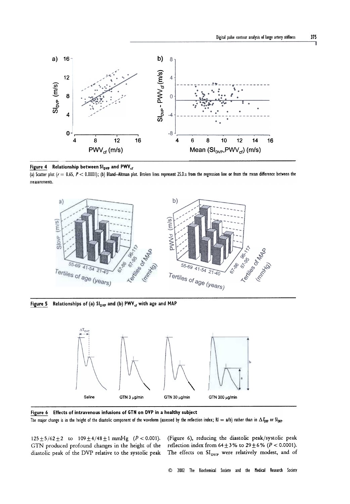



(a) Scatter plot ( $r = 0.65$ ,  $P < 0.0001$ ); (b) Bland-Altman plot. Broken lines represent 2S.D.s from the regression line or from the mean difference between the measurements.



Figure 5 Relationships of (a)  $Sl_{DVP}$  and (b) PWV<sub>cf</sub> with age and MAP



Figure 6 Effects of intravenous infusions of GTN on DVP in a healthy subject The major change is in the height of the diastolic component of the waveform (assessed by the reflection index; RI = a/b) rather than in  $\Delta T_{\text{DVP}}$  or SI<sub>DVP</sub>.

 $125 \pm 5/62 \pm 2$  to  $109 \pm 4/48 \pm 1$  mmHg (P < 0.001). GTN produced profound changes in the height of the diastolic peak of the DVP relative to the systolic peak (Figure 6), reducing the diastolic peak/systolic peak reflection index from  $64 \pm 3\%$  to  $29 \pm 6\%$  ( $P < 0.0001$ ). The effects on  $\mathrm{SI}_\mathrm{DVP}$  were relatively modest, and of

~ 2002 The Biochemical Society and the Medical Research Society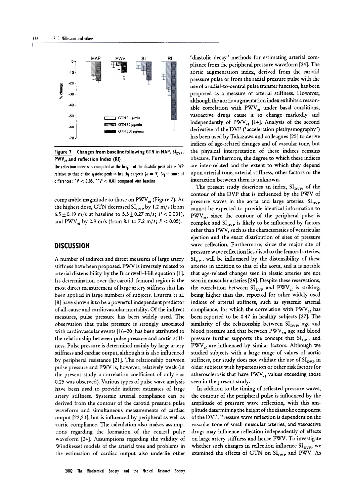

Figure 7 Changes from baseline following GTN in MAP, Sl<sub>DVP</sub>,  $PWV_{rf}$  and reflection index (RI)

The reflection index was computed as the height of the diastolic peak of the DVP relative to that of the systolic peak in healthy subjects ( $n = 9$ ). Significance of differences:  $P < 0.05$ ,  $P > 0.01$  compared with baseline.

comparable magnitude to those on  $\text{PWV}_{\alpha}$  (Figure 7). At the highest dose, GTN decreased  $SI_{\text{DVP}}$  by 1.2 m/s (from 6.5  $\pm$  0.19 m/s at baseline to 5.3  $\pm$  0.27 m/s; P < 0.001), and PWV<sub>at</sub> by 0.9 m/s (from 8.1 to 7.2 m/s;  $P < 0.05$ ).

# **DISCUSSION**

A number of indirect and direct measures of large artery stiffness have been proposed. PWV is inversely related to arterial distensibility by the Bramwell-Hill equation [1]. Its determination over the carotid-femoral region is the most direct measurement of large artery stiffness that has been applied in large numbers of subjects. Laurent et al. [8] have shown it to be a powerful independent predictor of all-cause and cardiovascular mortality. Of the indirect measures, pulse pressure has been widely used. The observation that pulse pressure is strongly associated with cardiovascular events [16-20] has been attributed to the relationship between pulse pressure and aortic stiffness. Pulse pressure is determined mainly by large artery stiffness and cardiac output, although it is also influenced by peripheral resistance [21]. The relationship between pulse pressure and PWV is, however, relatively weak (in the present study a correlation coefficient of only  $r =$ 0.25 was observed). Various types of pulse wave analysis have been used to provide indirect estimates of large artery stiffness. Systemic arterial compliance can be derived from the contour of the carotid pressure pulse waveform and simultaneous measurements of cardiac output [22,23], but is influenced by peripheral as well as aortic compliance. The calculation also makes assumptions regarding the formation of the central pulse waveform [24]. Assumptions regarding the validity of Windkessel models of the arterial tree and problems in the estimation of cardiac output also underlie other

'diastolic decay' methods for estimating arterial compliance from the peripheral pressure waveform [24]. The aortic augmentation index, derived from the carotid pressure pulse or from the radial pressure pulse with the use of a radial-to-central pulse transfer function, has been proposed as a measure of arterial stiffness. However, although the aortic augmentation index exhibits a reasonable correlation with  $PWV_{cf}$  under basal conditions, vasoactive drugs cause it to change markedly and independently of  $PWV_{cf}$  [14]. Analysis of the second derivative of the DVP ('acceleration plethysmography') has been used by Takazawa and colleagues [25] to derive indices of age-related changes and of vascular tone, but the physical interpretation of these indices remains obscure. Furthermore, the degree to which these indices are inter-related and the extent to which they depend upon arterial tone, arterial stiffness, other factors or the interaction between them is unknown.

The present study describes an index,  $SI<sub>DVP</sub>$  of the contour of the DVP that is influenced by the PWV of pressure waves in the aorta and large arteries.  $SI<sub>two</sub>$ cannot be expected to provide identical information to  $PWV_{\text{cr}}$  since the contour of the peripheral pulse is complex and  $SI<sub>DVP</sub>$  is likely to be influenced by factors other than PWV , such as the characteristics of ventricular ejection and the exact distribution of sites of pressure wave reflection. Furthermore, since the major site of pressure wave reflection lies distal to the femoral arteries,  $SI<sub>pre</sub>$  will be influenced by the distensibility of these arteries in addition to that of the aorta, and it is notable that age-related changes seen in elastic arteries are not seen in muscular arteries [26]. Despite these reservations, the correlation between  $SI_{\text{DVP}}$  and  $PWV_{\text{cf}}$  is striking, being higher than that reported for other widely used indices of arterial stiffness, such as systemic arterial compliance, for which the correlation with  $PWV_{ct}$  has been reported to be 0.47 in healthy subjects [27]. The similarity of the relationship between  $SI<sub>DVP</sub>$ , age and blood pressure and that between  $PWV_{cr}$ , age and blood pressure further supports the concept that  $SI<sub>pre</sub>$  and  $PWV_{cf}$  are influenced by similar factors. Although we studied subjects with a large range of values of aortic stiffness, our study does not validate the use of  $SI<sub>DVP</sub>$  in older subjects with hypertension or other risk factors for atherosclerosis that have  $PWV_{ct}$  values exceeding those seen in the present study.

In addition to the timing of reflected pressure waves, the contour of the peripheral pulse is influenced by the amplitude of pressure wave reflection, with this amplitude determining the height of the diastolic component of the DVP. Pressure wave reflection is dependent on the vascular tone of small muscular arteries, and vasoactive drugs may influence reflection independently of effects on large artery stiffness and hence PWV. To investigate whether such changes in reflection influence  $SI<sub>pvP</sub>$ , we examined the effects of GTN on  $SI<sub>DVP</sub>$  and PWV. As